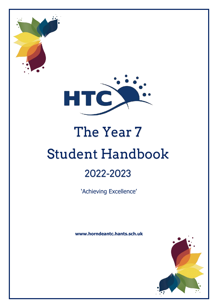

# The Year 7 Student Handbook

# 2022-2023

'Achieving Excellence'

**www.horndeantc.hants.sch.uk**

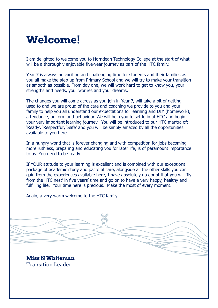# **Welcome!**

I am delighted to welcome you to Horndean Technology College at the start of what will be a thoroughly enjoyable five-year journey as part of the HTC family.

Year 7 is always an exciting and challenging time for students and their families as you all make the step up from Primary School and we will try to make your transition as smooth as possible. From day one, we will work hard to get to know you, your strengths and needs, your worries and your dreams.

The changes you will come across as you join in Year 7, will take a bit of getting used to and we are proud of the care and coaching we provide to you and your family to help you all understand our expectations for learning and DIY (homework), attendance, uniform and behaviour. We will help you to settle in at HTC and begin your very important learning journey. You will be introduced to our HTC mantra of; 'Ready', 'Respectful', 'Safe' and you will be simply amazed by all the opportunities available to you here.

In a hungry world that is forever changing and with competition for jobs becoming more ruthless, preparing and educating you for later life, is of paramount importance to us. You need to be ready.

If YOUR attitude to your learning is excellent and is combined with our exceptional package of academic study and pastoral care, alongside all the other skills you can gain from the experiences available here, I have absolutely no doubt that you will 'fly from the HTC nest' in five years' time and go on to have a very happy, healthy and fulfilling life. Your time here is precious. Make the most of every moment.

Again, a very warm welcome to the HTC family.

**Miss N Whiteman**  Transition Leader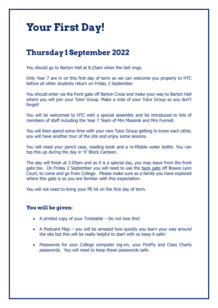# **Your First Day!**

## **Thursday 1 September 2022**

You should go to Barton Hall at 8.25am when the bell rings.

Only Year 7 are in on this first day of term so we can welcome you properly to HTC before all other students return on Friday 2 September.

You should enter via the front gate off Barton Cross and make your way to Barton Hall where you will join your Tutor Group. Make a note of your Tutor Group so you don't forget!

You will be welcomed to HTC with a special assembly and be introduced to lots of members of staff including the Year 7 Team of Mrs Massink and Mrs Funnell.

You will then spend some time with your new Tutor Group getting to know each other, you will have another tour of the site and enjoy some lessons.

You will need your pencil case, reading book and a re-fillable water bottle. You can top this up during the day in 'X' Block Canteen.

The day will finish at 3.05pm and as it is a special day, you may leave from the front gate too. On Friday 2 September you will need to use the back gate off Bowes Lyon Court, to come and go from College. Please make sure as a family you have explored where this gate is so you are familiar with this expectation.

You will not need to bring your PE kit on the first day of term.

#### **You will be given:**

- A printed copy of your Timetable Do not lose this!
- A Postcard Map you will be amazed how quickly you learn your way around the site but this will be really helpful to start with so keep it safe!
- Passwords for your College computer log-on, your FireFly and Class Charts passwords. You will need to keep these passwords safe.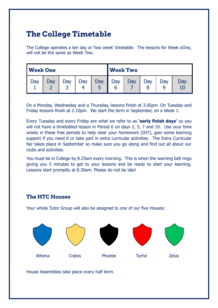## **The College Timetable**

The College operates a ten day or 'two week' timetable. The lessons for Week oOne, will not be the same as Week Two.

| <b>Week One</b> |     |          |     |     | <b>Week Two</b> |     |     |     |     |
|-----------------|-----|----------|-----|-----|-----------------|-----|-----|-----|-----|
| Jay             | Day | Day<br>ے | Day | Day | Day<br>b        | Day | Day | Day | Day |

On a Monday, Wednesday and a Thursday, lessons finish at 3.05pm. On Tuesday and Friday lessons finish at 2.10pm. We start the term in September, on a Week 1.

Every Tuesday and every Friday are what we refer to as **'early finish days'** so you will not have a timetabled lesson in Period 6 on days 2, 5, 7 and 10. Use your time wisely in these free periods to help clear your homework (DIY), gain some learning support if you need it or take part in extra curricular activities. The Extra Curricular fair takes place in September so make sure you go along and find out all about our clubs and activities.

You must be in College by 8.25am every morning. This is when the warning bell rings giving you 5 minutes to get to your lessons and be ready to start your learning. Lessons start promptly at 8.30am. Please do not be late!

#### **The HTC Houses**

Your whole Tutor Group will also be assigned to one of our five Houses:



House Assemblies take place every half term.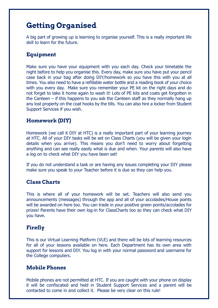## **Getting Organised**

A big part of growing up is learning to organise yourself. This is a really important life skill to learn for the future.

#### **Equipment**

Make sure you have your equipment with you each day. Check your timetable the night before to help you organise this. Every day, make sure you have put your pencil case back in your bag after doing DIY/homework so you have this with you at all times. You also need to have a refillable water bottle and a reading book of your choice with you every day. Make sure you remember your PE kit on the right days and do not forget to take it home again to wash it! Lots of PE kits and coats get forgotten in the Canteen – if this happens to you ask the Canteen staff as they normally hang up any lost property on the coat hooks by the tills. You can also hire a locker from Student Support Services if you wish.

#### **Homework (DIY)**

Homework (we call it DIY at HTC) is a really important part of your learning journey at HTC. All of your DIY tasks will be set on Class Charts (you will be given your login details when you arrive). This means you don't need to worry about forgetting anything and can see really easily what is due and when. Your parents will also have a log on to check what DIY you have been set!

If you do not understand a task or are having any issues completing your DIY please make sure you speak to your Teacher before it is due so they can help you.

#### **Class Charts**

This is where all of your homework will be set. Teachers will also send you announcements (messages) through the app and all of your accolades/House points will be awarded on here too. You can trade in your positive green points/accolades for prizes! Parents have their own log-in for ClassCharts too so they can check what DIY you have.

#### **Firefly**

This is our Virtual Learning Platform (VLE) and there will be lots of learning resources for all of your lessons available on here. Each Department has its own area with support for lessons and DIY. You log in with your normal password and username for the College computers.

#### **Mobile Phones**

Mobile phones are not permitted at HTC. If you are caught with your phone on display it will be confiscated and held in Student Support Services and a parent will be contacted to come in and collect it. Please be very clear on this rule!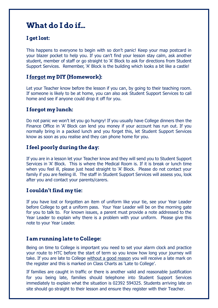## **What do I do if…**

#### **I get lost:**

This happens to everyone to begin with so don't panic! Keep your map postcard in your blazer pocket to help you. If you can't find your lesson stay calm, ask another student, member of staff or go straight to 'A' Block to ask for directions from Student Support Services. Remember, 'A' Block is the building which looks a bit like a castle!

#### **I forgot my DIY (Homework):**

Let your Teacher know before the lesson if you can, by going to their teaching room. If someone is likely to be at home, you can also ask Student Support Services to call home and see if anyone could drop it off for you.

#### **I forgot my lunch:**

Do not panic we won't let you go hungry! If you usually have College dinners then the Finance Office in 'A' Block can lend you money if your account has run out. If you normally bring in a packed lunch and you forget this, let Student Support Services know as soon as you realise and they can phone home for you.

#### **I feel poorly during the day:**

If you are in a lesson let your Teacher know and they will send you to Student Support Services in 'A' Block. This is where the Medical Room is. If it is break or lunch time when you feel ill, please just head straight to 'A' Block. Please do not contact your family if you are feeling ill. The staff in Student Support Services will assess you, look after you and contact your parents/carers.

#### **I couldn't find my tie:**

If you have lost or forgotten an item of uniform like your tie, see your Year Leader before College to get a uniform pass. Your Year Leader will be on the morning gate for you to talk to. For known issues, a parent must provide a note addressed to the Year Leader to explain why there is a problem with your uniform. Please give this note to your Year Leader.

#### **I am running late to College:**

Being on time to College is important you need to set your alarm clock and practice your route to HTC before the start of term so you know how long your journey will take. If you are late to College without a good reason you will receive a late mark on the register and this is marked on Class Charts as 'Late to College'.

If families are caught in traffic or there is another valid and reasonable justification for you being late, families should telephone into Student Support Services immediately to explain what the situation is 02392 594325. Students arriving late on site should go straight to their lesson and ensure they register with their Teacher.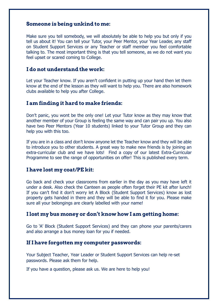#### **Someone is being unkind to me:**

Make sure you tell somebody, we will absolutely be able to help you but only if you tell us about it! You can tell your Tutor, your Peer Mentor, your Year Leader, any staff on Student Support Services or any Teacher or staff member you feel comfortable talking to. The most important thing is that you tell someone, as we do not want you feel upset or scared coming to College.

#### **I do not understand the work:**

Let your Teacher know. If you aren't confident in putting up your hand then let them know at the end of the lesson as they will want to help you. There are also homework clubs available to help you after College.

#### **I am finding it hard to make friends:**

Don't panic, you wont be the only one! Let your Tutor know as they may know that another member of your Group is feeling the same way and can pair you up. You also have two Peer Mentors (Year 10 students) linked to your Tutor Group and they can help you with this too.

If you are in a class and don't know anyone let the Teacher know and they will be able to introduce you to other students. A great way to make new friends is by joining an extra-curricular club and we have lots! Find a copy of our latest Extra-Curricular Programme to see the range of opportunities on offer! This is published every term.

#### **I have lost my coat/PE kit:**

Go back and check your classrooms from earlier in the day as you may have left it under a desk. Also check the Canteen as people often forget their PE kit after lunch! If you can't find it don't worry let A Block (Student Support Services) know as lost property gets handed in there and they will be able to find it for you. Please make sure all your belongings are clearly labelled with your name!

#### **I lost my bus money or don't know how I am getting home:**

Go to 'A' Block (Student Support Services) and they can phone your parents/carers and also arrange a bus money loan for you if needed.

#### **If I have forgotten my computer passwords:**

Your Subject Teacher, Year Leader or Student Support Services can help re-set passwords. Please ask them for help.

If you have a question, please ask us. We are here to help you!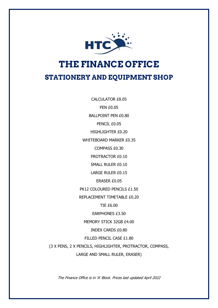

## **THE FINANCE OFFICE STATIONERY AND EQUIPMENT SHOP**

CALCULATOR £8.05 PEN £0.05 BALLPOINT PEN £0.80 PENCIL £0.05 HIGHLIGHTER £0.20 WHITEBOARD MARKER £0.35 COMPASS £0.30 PROTRACTOR £0.10 SMALL RULER £0.10 LARGE RULER £0.15 ERASER £0.05 PK12 COLOURED PENCILS £1.50 REPLACEMENT TIMETABLE £0.20 TIE £6.00 EARPHONES £3.50 MEMORY STICK 32GB £4.00 INDEX CARDS £0.80 FILLED PENCIL CASE £1.80 (3 X PENS, 2 X PENCILS, HIGHLIGHTER, PROTRACTOR, COMPASS, LARGE AND SMALL RULER, ERASER)

The Finance Office is in 'A' Block. Prices last updated April 2022